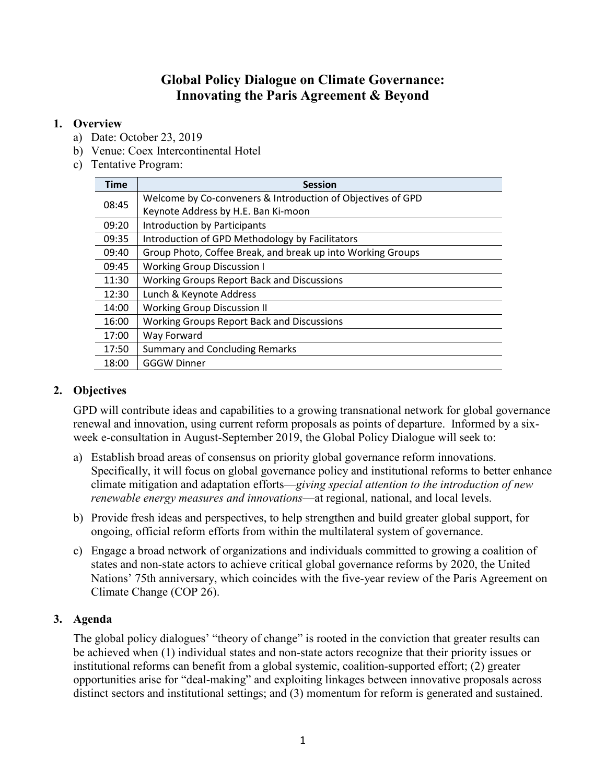# **Global Policy Dialogue on Climate Governance: Innovating the Paris Agreement & Beyond**

#### **1. Overview**

- a) Date: October 23, 2019
- b) Venue: Coex Intercontinental Hotel
- c) Tentative Program:

| <b>Time</b> | <b>Session</b>                                              |
|-------------|-------------------------------------------------------------|
| 08:45       | Welcome by Co-conveners & Introduction of Objectives of GPD |
|             | Keynote Address by H.E. Ban Ki-moon                         |
| 09:20       | Introduction by Participants                                |
| 09:35       | Introduction of GPD Methodology by Facilitators             |
| 09:40       | Group Photo, Coffee Break, and break up into Working Groups |
| 09:45       | <b>Working Group Discussion I</b>                           |
| 11:30       | <b>Working Groups Report Back and Discussions</b>           |
| 12:30       | Lunch & Keynote Address                                     |
| 14:00       | <b>Working Group Discussion II</b>                          |
| 16:00       | <b>Working Groups Report Back and Discussions</b>           |
| 17:00       | Way Forward                                                 |
| 17:50       | <b>Summary and Concluding Remarks</b>                       |
| 18:00       | <b>GGGW Dinner</b>                                          |

# **2. Objectives**

GPD will contribute ideas and capabilities to a growing transnational network for global governance renewal and innovation, using current reform proposals as points of departure. Informed by a sixweek e-consultation in August-September 2019, the Global Policy Dialogue will seek to:

- a) Establish broad areas of consensus on priority global governance reform innovations. Specifically, it will focus on global governance policy and institutional reforms to better enhance climate mitigation and adaptation efforts—*giving special attention to the introduction of new renewable energy measures and innovations*—at regional, national, and local levels.
- b) Provide fresh ideas and perspectives, to help strengthen and build greater global support, for ongoing, official reform efforts from within the multilateral system of governance.
- c) Engage a broad network of organizations and individuals committed to growing a coalition of states and non-state actors to achieve critical global governance reforms by 2020, the United Nations' 75th anniversary, which coincides with the five-year review of the Paris Agreement on Climate Change (COP 26).

## **3. Agenda**

The global policy dialogues' "theory of change" is rooted in the conviction that greater results can be achieved when (1) individual states and non-state actors recognize that their priority issues or institutional reforms can benefit from a global systemic, coalition-supported effort; (2) greater opportunities arise for "deal-making" and exploiting linkages between innovative proposals across distinct sectors and institutional settings; and (3) momentum for reform is generated and sustained.